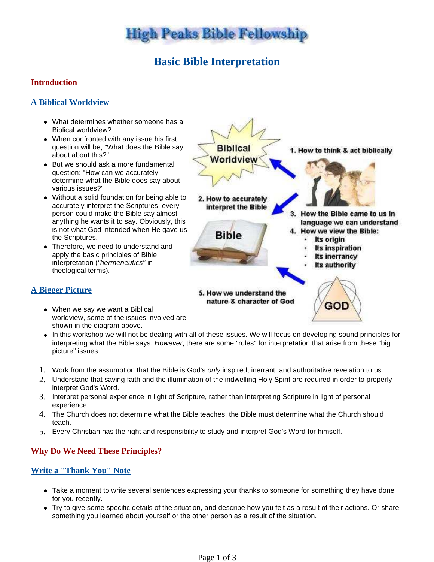

# **Basic Bible Interpretation**

## **Introduction**

## **A Biblical Worldview**

- What determines whether someone has a Biblical worldview?
- When confronted with any issue his first question will be, "What does the Bible say about about this?"
- But we should ask a more fundamental question: "How can we accurately determine what the Bible does say about various issues?"
- Without a solid foundation for being able to accurately interpret the Scriptures, every person could make the Bible say almost anything he wants it to say. Obviously, this is not what God intended when He gave us the Scriptures.
- Therefore, we need to understand and apply the basic principles of Bible interpretation ("hermeneutics" in theological terms).



## **A Bigger Picture**

- When we say we want a Biblical worldview, some of the issues involved are shown in the diagram above.
- In this workshop we will not be dealing with all of these issues. We will focus on developing sound principles for interpreting what the Bible says. However, there are some "rules" for interpretation that arise from these "big picture" issues:
- 1. Work from the assumption that the Bible is God's only inspired, inerrant, and authoritative revelation to us.
- 2. Understand that saving faith and the illumination of the indwelling Holy Spirit are required in order to properly interpret God's Word.
- 3. Interpret personal experience in light of Scripture, rather than interpreting Scripture in light of personal experience.
- 4. The Church does not determine what the Bible teaches, the Bible must determine what the Church should teach.
- 5. Every Christian has the right and responsibility to study and interpret God's Word for himself.

## **Why Do We Need These Principles?**

## **Write a "Thank You" Note**

- Take a moment to write several sentences expressing your thanks to someone for something they have done for you recently.
- Try to give some specific details of the situation, and describe how you felt as a result of their actions. Or share something you learned about yourself or the other person as a result of the situation.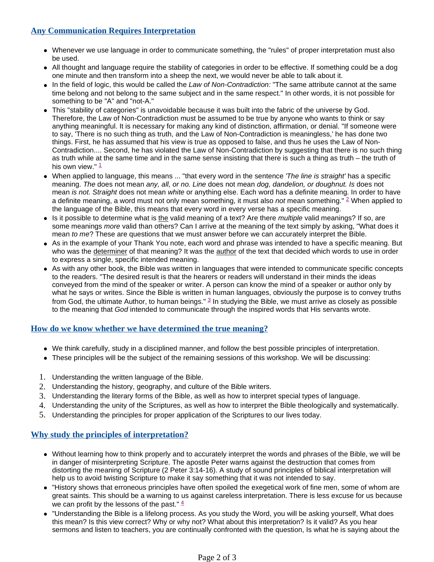### **Any Communication Requires Interpretation**

- Whenever we use language in order to communicate something, the "rules" of proper interpretation must also be used.
- All thought and language require the stability of categories in order to be effective. If something could be a dog one minute and then transform into a sheep the next, we would never be able to talk about it.
- In the field of logic, this would be called the Law of Non-Contradiction: "The same attribute cannot at the same time belong and not belong to the same subject and in the same respect." In other words, it is not possible for something to be "A" and "not-A."
- This "stability of categories" is unavoidable because it was built into the fabric of the universe by God. Therefore, the Law of Non-Contradiction must be assumed to be true by anyone who wants to think or say anything meaningful. It is necessary for making any kind of distinction, affirmation, or denial. "If someone were to say, 'There is no such thing as truth, and the Law of Non-Contradiction is meaningless,' he has done two things. First, he has assumed that his view is true as opposed to false, and thus he uses the Law of Non-Contradiction.... Second, he has violated the Law of Non-Contradiction by suggesting that there is no such thing as truth while at the same time and in the same sense insisting that there is such a thing as truth – the truth of his own view."  $\frac{1}{1}$
- When applied to language, this means ... "that every word in the sentence 'The line is straight' has a specific meaning. The does not mean any, all, or no. Line does not mean dog, dandelion, or doughnut. Is does not mean is not. Straight does not mean white or anything else. Each word has a definite meaning. In order to have a definite meaning, a word must not only mean something, it must also not mean something." <sup>2</sup> When applied to the language of the Bible, this means that every word in every verse has a specific meaning.
- Is it possible to determine what is the valid meaning of a text? Are there multiple valid meanings? If so, are some meanings *more* valid than others? Can I arrive at the meaning of the text simply by asking, "What does it mean to me? These are questions that we must answer before we can accurately interpret the Bible.
- As in the example of your Thank You note, each word and phrase was intended to have a specific meaning. But who was the determiner of that meaning? It was the author of the text that decided which words to use in order to express a single, specific intended meaning.
- As with any other book, the Bible was written in languages that were intended to communicate specific concepts to the readers. "The desired result is that the hearers or readers will understand in their minds the ideas conveyed from the mind of the speaker or writer. A person can know the mind of a speaker or author only by what he says or writes. Since the Bible is written in human languages, obviously the purpose is to convey truths from God, the ultimate Author, to human beings."  $3$  In studying the Bible, we must arrive as closely as possible to the meaning that God intended to communicate through the inspired words that His servants wrote.

#### **How do we know whether we have determined the true meaning?**

- We think carefully, study in a disciplined manner, and follow the best possible principles of interpretation.
- These principles will be the subject of the remaining sessions of this workshop. We will be discussing:
- 1. Understanding the written language of the Bible.
- 2. Understanding the history, geography, and culture of the Bible writers.
- 3. Understanding the literary forms of the Bible, as well as how to interpret special types of language.
- 4. Understanding the unity of the Scriptures, as well as how to interpret the Bible theologically and systematically.
- 5. Understanding the principles for proper application of the Scriptures to our lives today.

#### **Why study the principles of interpretation?**

- Without learning how to think properly and to accurately interpret the words and phrases of the Bible, we will be in danger of misinterpreting Scripture. The apostle Peter warns against the destruction that comes from distorting the meaning of Scripture (2 Peter 3:14-16). A study of sound principles of biblical interpretation will help us to avoid twisting Scripture to make it say something that it was not intended to say.
- "History shows that erroneous principles have often spoiled the exegetical work of fine men, some of whom are great saints. This should be a warning to us against careless interpretation. There is less excuse for us because we can profit by the lessons of the past."  $\frac{4}{1}$
- "Understanding the Bible is a lifelong process. As you study the Word, you will be asking yourself, What does this mean? Is this view correct? Why or why not? What about this interpretation? Is it valid? As you hear sermons and listen to teachers, you are continually confronted with the question, Is what he is saying about the